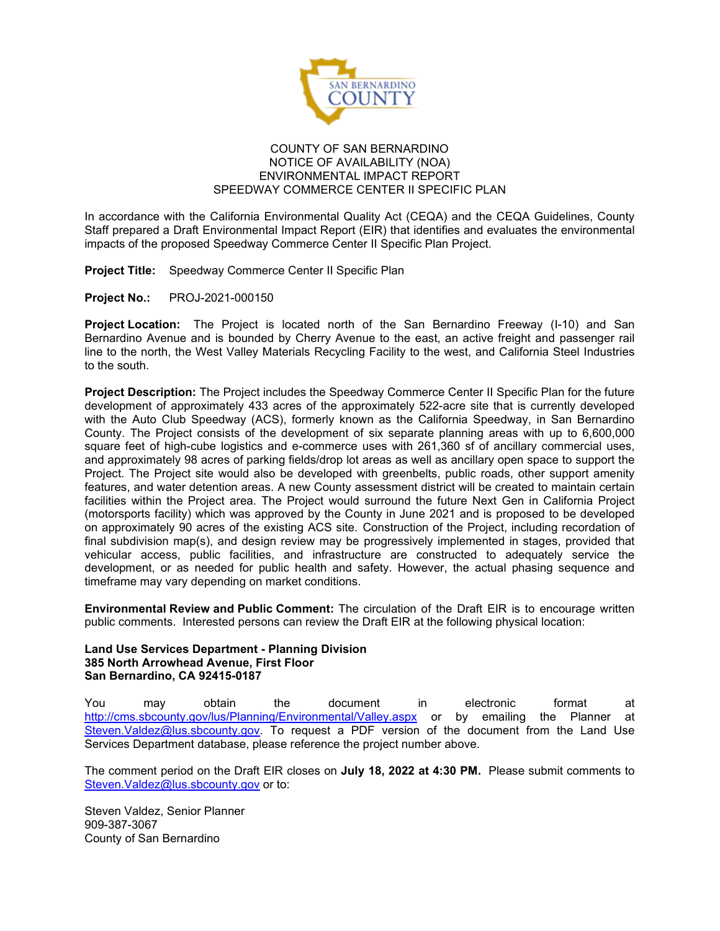

## COUNTY OF SAN BERNARDINO NOTICE OF AVAILABILITY (NOA) ENVIRONMENTAL IMPACT REPORT SPEEDWAY COMMERCE CENTER II SPECIFIC PLAN

In accordance with the California Environmental Quality Act (CEQA) and the CEQA Guidelines, County Staff prepared a Draft Environmental Impact Report (EIR) that identifies and evaluates the environmental impacts of the proposed Speedway Commerce Center II Specific Plan Project.

**Project Title:** Speedway Commerce Center II Specific Plan

**Project No.:** PROJ-2021-000150

**Project Location:** The Project is located north of the San Bernardino Freeway (I-10) and San Bernardino Avenue and is bounded by Cherry Avenue to the east, an active freight and passenger rail line to the north, the West Valley Materials Recycling Facility to the west, and California Steel Industries to the south.

**Project Description:** The Project includes the Speedway Commerce Center II Specific Plan for the future development of approximately 433 acres of the approximately 522-acre site that is currently developed with the Auto Club Speedway (ACS), formerly known as the California Speedway, in San Bernardino County. The Project consists of the development of six separate planning areas with up to 6,600,000 square feet of high-cube logistics and e-commerce uses with 261,360 sf of ancillary commercial uses, and approximately 98 acres of parking fields/drop lot areas as well as ancillary open space to support the Project. The Project site would also be developed with greenbelts, public roads, other support amenity features, and water detention areas. A new County assessment district will be created to maintain certain facilities within the Project area. The Project would surround the future Next Gen in California Project (motorsports facility) which was approved by the County in June 2021 and is proposed to be developed on approximately 90 acres of the existing ACS site. Construction of the Project, including recordation of final subdivision map(s), and design review may be progressively implemented in stages, provided that vehicular access, public facilities, and infrastructure are constructed to adequately service the development, or as needed for public health and safety. However, the actual phasing sequence and timeframe may vary depending on market conditions.

**Environmental Review and Public Comment:** The circulation of the Draft EIR is to encourage written public comments. Interested persons can review the Draft EIR at the following physical location:

## **Land Use Services Department - Planning Division 385 North Arrowhead Avenue, First Floor San Bernardino, CA 92415-0187**

You may obtain the document in electronic format at <http://cms.sbcounty.gov/lus/Planning/Environmental/Valley.aspx> or by emailing the Planner at [Steven.Valdez@lus.sbcounty.gov.](mailto:Steven.Valdez@lus.sbcounty.gov) To request a PDF version of the document from the Land Use Services Department database, please reference the project number above.

The comment period on the Draft EIR closes on **July 18, 2022 at 4:30 PM.** Please submit comments to [Steven.Valdez@lus.sbcounty.gov](mailto:Steven.Valdez@lus.sbcounty.gov) or to:

Steven Valdez, Senior Planner 909-387-3067 County of San Bernardino